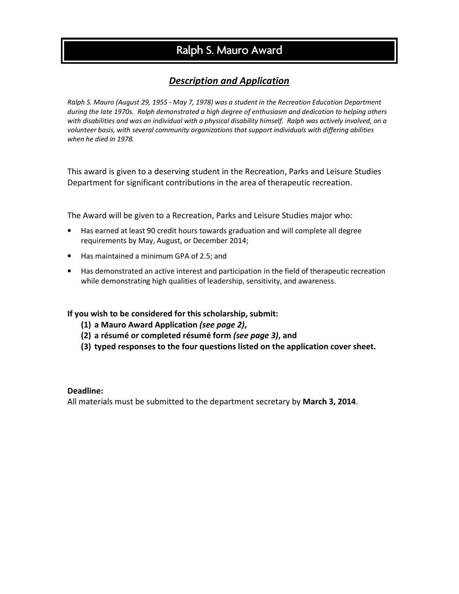# Ralph S. Mauro Award

### *Description and Application*

*Ralph S. Mauro (August 29, 1955 - May 7, 1978) was a student in the Recreation Education Department during the late 1970s. Ralph demonstrated a high degree of enthusiasm and dedication to helping others*  with disabilities and was an individual with a physical disability himself. Ralph was actively involved, on a *volunteer basis, with several community organizations that support individuals with differing abilities when he died in 1978.* 

This award is given to a deserving student in the Recreation, Parks and Leisure Studies Department for significant contributions in the area of therapeutic recreation.

The Award will be given to a Recreation, Parks and Leisure Studies major who:

- Has earned at least 90 credit hours towards graduation and will complete all degree requirements by May, August, or December 2014;
- Has maintained a minimum GPA of 2.5; and
- Has demonstrated an active interest and participation in the field of therapeutic recreation while demonstrating high qualities of leadership, sensitivity, and awareness.

#### **If you wish to be considered for this scholarship, submit:**

- **(1) a Mauro Award Application** *(see page 2)***,**
- **(2) a résumé or completed résumé form** *(see page 3)***, and**
- **(3) typed responses to the four questions listed on the application cover sheet.**

#### **Deadline:**

All materials must be submitted to the department secretary by **March 3, 2014**.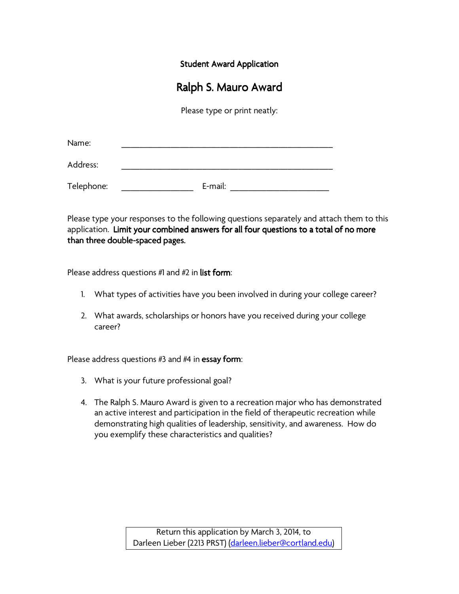**Student Award Application** 

## Ralph S. Mauro Award

Please type or print neatly:

| Name:      |         |
|------------|---------|
| Address:   |         |
| Telephone: | E-mail: |

Please type your responses to the following questions separately and attach them to this application. Limit your combined answers for all four questions to a total of no more than three double-spaced pages.

Please address questions  $#1$  and  $#2$  in list form:

- 1. What types of activities have you been involved in during your college career?
- 2. What awards, scholarships or honors have you received during your college career?

Please address questions  $#3$  and  $#4$  in essay form:

- 3. What is your future professional goal?
- 4. The Ralph S. Mauro Award is given to a recreation major who has demonstrated an active interest and participation in the field of therapeutic recreation while demonstrating high qualities of leadership, sensitivity, and awareness. How do you exemplify these characteristics and qualities?

Return this application by March 3, 2014, to Darleen Lieber (2213 PRST) (darleen.lieber@cortland.edu)